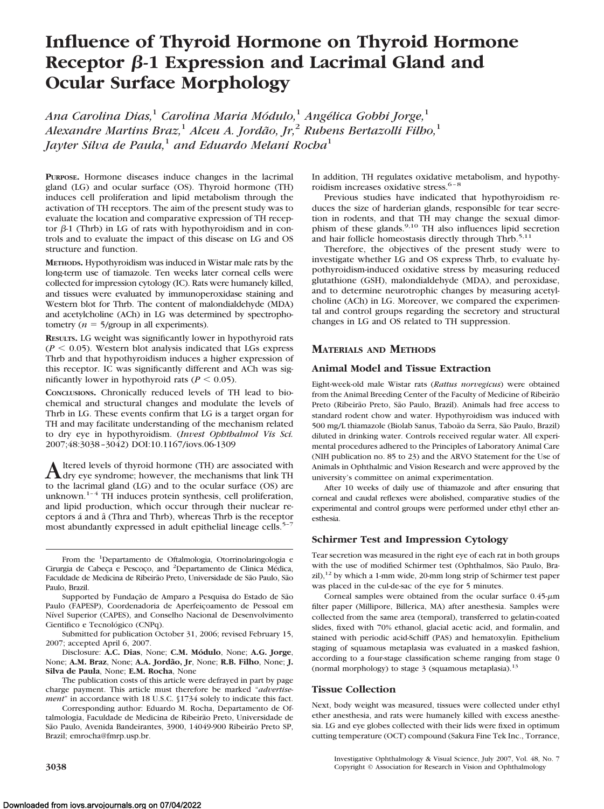# **Influence of Thyroid Hormone on Thyroid Hormone** Receptor  $\beta$ -1 Expression and Lacrimal Gland and **Ocular Surface Morphology**

*Ana Carolina Dias,*<sup>1</sup> *Carolina Maria Mo´dulo,*<sup>1</sup> *Ange´lica Gobbi Jorge,*<sup>1</sup> *Alexandre Martins Braz,*<sup>1</sup> *Alceu A. Jorda˜o, Jr,*<sup>2</sup> *Rubens Bertazolli Filho,*<sup>1</sup> *Jayter Silva de Paula,*<sup>1</sup> *and Eduardo Melani Rocha*<sup>1</sup>

**PURPOSE.** Hormone diseases induce changes in the lacrimal gland (LG) and ocular surface (OS). Thyroid hormone (TH) induces cell proliferation and lipid metabolism through the activation of TH receptors. The aim of the present study was to evaluate the location and comparative expression of TH receptor  $\beta$ -1 (Thrb) in LG of rats with hypothyroidism and in controls and to evaluate the impact of this disease on LG and OS structure and function.

**METHODS.** Hypothyroidism was induced in Wistar male rats by the long-term use of tiamazole. Ten weeks later corneal cells were collected for impression cytology (IC). Rats were humanely killed, and tissues were evaluated by immunoperoxidase staining and Western blot for Thrb. The content of malondialdehyde (MDA) and acetylcholine (ACh) in LG was determined by spectrophotometry  $(n = 5$ /group in all experiments).

**RESULTS.** LG weight was significantly lower in hypothyroid rats  $(P < 0.05)$ . Western blot analysis indicated that LGs express Thrb and that hypothyroidism induces a higher expression of this receptor. IC was significantly different and ACh was significantly lower in hypothyroid rats ( $P < 0.05$ ).

**CONCLUSIONS.** Chronically reduced levels of TH lead to biochemical and structural changes and modulate the levels of Thrb in LG. These events confirm that LG is a target organ for TH and may facilitate understanding of the mechanism related to dry eye in hypothyroidism. (*Invest Ophthalmol Vis Sci.* 2007;48:3038 –3042) DOI:10.1167/iovs.06-1309

Altered levels of thyroid hormone (TH) are associated with<br>dry eye syndrome; however, the mechanisms that link TH to the lacrimal gland (LG) and to the ocular surface (OS) are unknown. $1-4$  TH induces protein synthesis, cell proliferation, and lipid production, which occur through their nuclear receptors á and â (Thra and Thrb), whereas Thrb is the receptor most abundantly expressed in adult epithelial lineage cells.<sup>5-7</sup>

From the <sup>1</sup>Departamento de Oftalmologia, Otorrinolaringologia e Cirurgia de Cabeça e Pescoço, and <sup>2</sup>Departamento de Clinica Médica, Faculdade de Medicina de Ribeirão Preto, Universidade de São Paulo, São Paulo, Brazil.

Supported by Fundação de Amparo a Pesquisa do Estado de São Paulo (FAPESP), Coordenadoria de Aperfeiçoamento de Pessoal em Nível Superior (CAPES), and Conselho Nacional de Desenvolvimento Cientifico e Tecnológico (CNPq).

Submitted for publication October 31, 2006; revised February 15, 2007; accepted April 6, 2007.

Disclosure: **A.C. Dias**, None; **C.M. Mo´dulo**, None; **A.G. Jorge**, None; **A.M. Braz**, None; **A.A. Jordão, Jr**, None; **R.B. Filho**, None; **J. Silva de Paula**, None; **E.M. Rocha**, None

The publication costs of this article were defrayed in part by page charge payment. This article must therefore be marked "*advertisement*" in accordance with 18 U.S.C. §1734 solely to indicate this fact.

Corresponding author: Eduardo M. Rocha, Departamento de Oftalmologia, Faculdade de Medicina de Ribeirão Preto, Universidade de São Paulo, Avenida Bandeirantes, 3900, 14049-900 Ribeirão Preto SP, Brazil; emrocha@fmrp.usp.br.

In addition, TH regulates oxidative metabolism, and hypothyroidism increases oxidative stress.<sup>6-8</sup>

Previous studies have indicated that hypothyroidism reduces the size of harderian glands, responsible for tear secretion in rodents, and that TH may change the sexual dimorphism of these glands.<sup>9,10</sup> TH also influences lipid secretion and hair follicle homeostasis directly through Thrb.<sup>5,11</sup>

Therefore, the objectives of the present study were to investigate whether LG and OS express Thrb, to evaluate hypothyroidism-induced oxidative stress by measuring reduced glutathione (GSH), malondialdehyde (MDA), and peroxidase, and to determine neurotrophic changes by measuring acetylcholine (ACh) in LG. Moreover, we compared the experimental and control groups regarding the secretory and structural changes in LG and OS related to TH suppression.

## **MATERIALS AND METHODS**

#### **Animal Model and Tissue Extraction**

Eight-week-old male Wistar rats (*Rattus norvegicus*) were obtained from the Animal Breeding Center of the Faculty of Medicine of Ribeirão Preto (Ribeirão Preto, São Paulo, Brazil). Animals had free access to standard rodent chow and water. Hypothyroidism was induced with 500 mg/L thiamazole (Biolab Sanus, Taboão da Serra, São Paulo, Brazil) diluted in drinking water. Controls received regular water. All experimental procedures adhered to the Principles of Laboratory Animal Care (NIH publication no. 85 to 23) and the ARVO Statement for the Use of Animals in Ophthalmic and Vision Research and were approved by the university's committee on animal experimentation.

After 10 weeks of daily use of thiamazole and after ensuring that corneal and caudal reflexes were abolished, comparative studies of the experimental and control groups were performed under ethyl ether anesthesia.

#### **Schirmer Test and Impression Cytology**

Tear secretion was measured in the right eye of each rat in both groups with the use of modified Schirmer test (Ophthalmos, São Paulo, Brazil),12 by which a 1-mm wide, 20-mm long strip of Schirmer test paper was placed in the cul-de-sac of the eye for 5 minutes.

Corneal samples were obtained from the ocular surface  $0.45$ - $\mu$ m filter paper (Millipore, Billerica, MA) after anesthesia. Samples were collected from the same area (temporal), transferred to gelatin-coated slides, fixed with 70% ethanol, glacial acetic acid, and formalin, and stained with periodic acid-Schiff (PAS) and hematoxylin. Epithelium staging of squamous metaplasia was evaluated in a masked fashion, according to a four-stage classification scheme ranging from stage 0 (normal morphology) to stage  $3$  (squamous metaplasia).<sup>13</sup>

#### **Tissue Collection**

Next, body weight was measured, tissues were collected under ethyl ether anesthesia, and rats were humanely killed with excess anesthesia. LG and eye globes collected with their lids were fixed in optimum cutting temperature (OCT) compound (Sakura Fine Tek Inc., Torrance,

Investigative Ophthalmology & Visual Science, July 2007, Vol. 48, No. 7 **3038** Copyright © Association for Research in Vision and Ophthalmology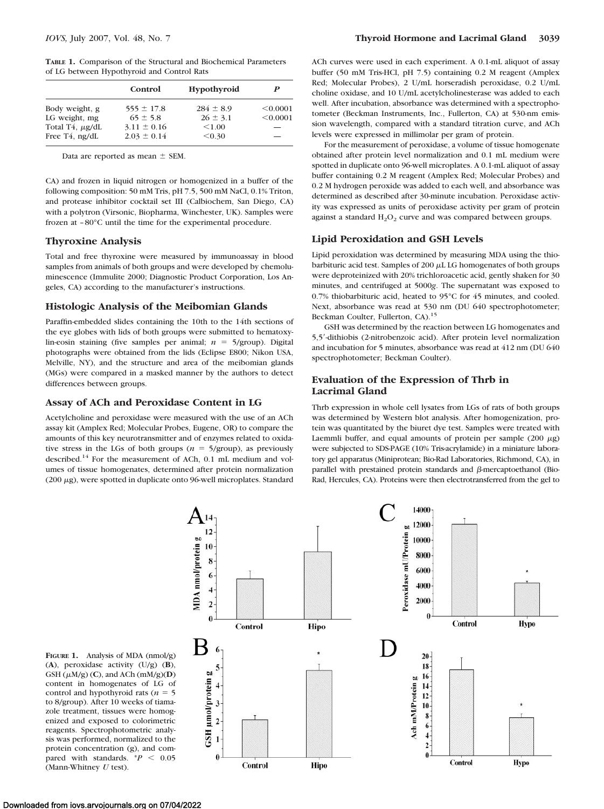|                 | Control         | Hypothyroid   | P        |
|-----------------|-----------------|---------------|----------|
| Body weight, g  | $555 \pm 17.8$  | $284 \pm 8.9$ | < 0.0001 |
| LG weight, mg   | $65 \pm 5.8$    | $26 \pm 3.1$  | < 0.0001 |
| Total T4, µg/dL | $3.11 \pm 0.16$ | < 1.00        | _        |
| Free T4, ng/dL  | $2.03 \pm 0.14$ | < 0.30        | -        |

Data are reported as mean  $\pm$  SEM.

CA) and frozen in liquid nitrogen or homogenized in a buffer of the following composition: 50 mM Tris, pH 7.5, 500 mM NaCl, 0.1% Triton, and protease inhibitor cocktail set III (Calbiochem, San Diego, CA) with a polytron (Virsonic, Biopharma, Winchester, UK). Samples were frozen at – 80°C until the time for the experimental procedure.

## **Thyroxine Analysis**

Total and free thyroxine were measured by immunoassay in blood samples from animals of both groups and were developed by chemoluminescence (Immulite 2000; Diagnostic Product Corporation, Los Angeles, CA) according to the manufacturer's instructions.

## **Histologic Analysis of the Meibomian Glands**

Paraffin-embedded slides containing the 10th to the 14th sections of the eye globes with lids of both groups were submitted to hematoxylin-eosin staining (five samples per animal;  $n = 5/\text{group}$ ). Digital photographs were obtained from the lids (Eclipse E800; Nikon USA, Melville, NY), and the structure and area of the meibomian glands (MGs) were compared in a masked manner by the authors to detect differences between groups.

## **Assay of ACh and Peroxidase Content in LG**

Acetylcholine and peroxidase were measured with the use of an ACh assay kit (Amplex Red; Molecular Probes, Eugene, OR) to compare the amounts of this key neurotransmitter and of enzymes related to oxidative stress in the LGs of both groups ( $n = 5$ /group), as previously described.14 For the measurement of ACh, 0.1 mL medium and volumes of tissue homogenates, determined after protein normalization (200 µg), were spotted in duplicate onto 96-well microplates. Standard

ACh curves were used in each experiment. A 0.1-mL aliquot of assay buffer (50 mM Tris-HCl, pH 7.5) containing 0.2 M reagent (Amplex Red; Molecular Probes), 2 U/mL horseradish peroxidase, 0.2 U/mL choline oxidase, and 10 U/mL acetylcholinesterase was added to each well. After incubation, absorbance was determined with a spectrophotometer (Beckman Instruments, Inc., Fullerton, CA) at 530-nm emission wavelength, compared with a standard titration curve, and ACh levels were expressed in millimolar per gram of protein.

For the measurement of peroxidase, a volume of tissue homogenate obtained after protein level normalization and 0.1 mL medium were spotted in duplicate onto 96-well microplates. A 0.1-mL aliquot of assay buffer containing 0.2 M reagent (Amplex Red; Molecular Probes) and 0.2 M hydrogen peroxide was added to each well, and absorbance was determined as described after 30-minute incubation. Peroxidase activity was expressed as units of peroxidase activity per gram of protein against a standard  $H_2O_2$  curve and was compared between groups.

## **Lipid Peroxidation and GSH Levels**

Lipid peroxidation was determined by measuring MDA using the thiobarbituric acid test. Samples of  $200 \mu L$  LG homogenates of both groups were deproteinized with 20% trichloroacetic acid, gently shaken for 30 minutes, and centrifuged at 5000*g*. The supernatant was exposed to 0.7% thiobarbituric acid, heated to 95°C for 45 minutes, and cooled. Next, absorbance was read at 530 nm (DU 640 spectrophotometer; Beckman Coulter, Fullerton, CA).15

GSH was determined by the reaction between LG homogenates and 5,5-dithiobis (2-nitrobenzoic acid). After protein level normalization and incubation for 5 minutes, absorbance was read at 412 nm (DU 640 spectrophotometer; Beckman Coulter).

## **Evaluation of the Expression of Thrb in Lacrimal Gland**

Thrb expression in whole cell lysates from LGs of rats of both groups was determined by Western blot analysis. After homogenization, protein was quantitated by the biuret dye test. Samples were treated with Laemmli buffer, and equal amounts of protein per sample  $(200 \mu g)$ were subjected to SDS-PAGE (10% Tris-acrylamide) in a miniature laboratory gel apparatus (Miniprotean; Bio-Rad Laboratories, Richmond, CA), in parallel with prestained protein standards and  $\beta$ -mercaptoethanol (Bio-Rad, Hercules, CA). Proteins were then electrotransferred from the gel to



**FIGURE 1.** Analysis of MDA (nmol/g) (**A**), peroxidase activity (U/g) (**B**),  $GSH(\mu M/g)$  (C), and ACh (mM/g)(D) content in homogenates of LG of control and hypothyroid rats  $(n = 5)$ to 8/group). After 10 weeks of tiamazole treatment, tissues were homogenized and exposed to colorimetric reagents. Spectrophotometric analysis was performed, normalized to the protein concentration (g), and compared with standards.  $P < 0.05$ (Mann-Whitney *U* test).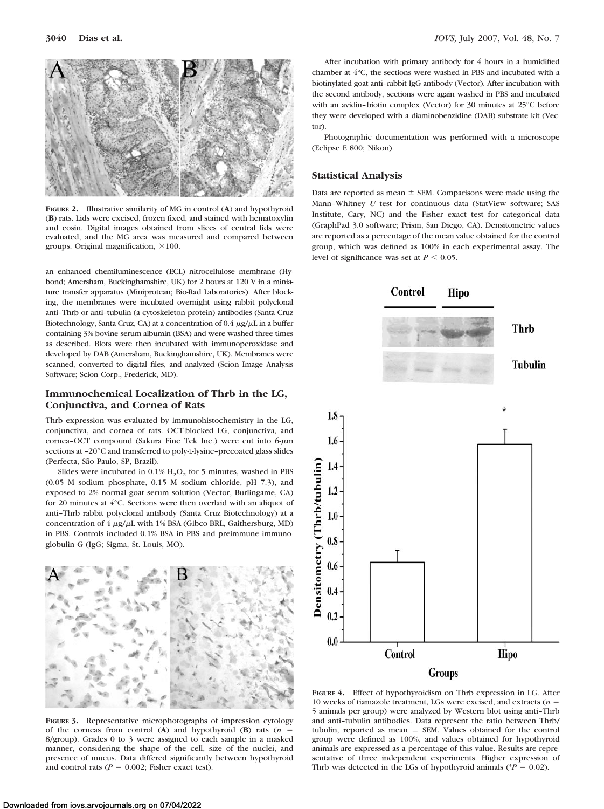

**FIGURE 2.** Illustrative similarity of MG in control (**A**) and hypothyroid (**B**) rats. Lids were excised, frozen fixed, and stained with hematoxylin and eosin. Digital images obtained from slices of central lids were evaluated, and the MG area was measured and compared between groups. Original magnification,  $\times 100$ .

an enhanced chemiluminescence (ECL) nitrocellulose membrane (Hybond; Amersham, Buckinghamshire, UK) for 2 hours at 120 V in a miniature transfer apparatus (Miniprotean; Bio-Rad Laboratories). After blocking, the membranes were incubated overnight using rabbit polyclonal anti–Thrb or anti–tubulin (a cytoskeleton protein) antibodies (Santa Cruz Biotechnology, Santa Cruz, CA) at a concentration of  $0.4 \ \mu$ g/ $\mu$ L in a buffer containing 3% bovine serum albumin (BSA) and were washed three times as described. Blots were then incubated with immunoperoxidase and developed by DAB (Amersham, Buckinghamshire, UK). Membranes were scanned, converted to digital files, and analyzed (Scion Image Analysis Software; Scion Corp., Frederick, MD).

## **Immunochemical Localization of Thrb in the LG, Conjunctiva, and Cornea of Rats**

Thrb expression was evaluated by immunohistochemistry in the LG, conjunctiva, and cornea of rats. OCT-blocked LG, conjunctiva, and cornea-OCT compound (Sakura Fine Tek Inc.) were cut into 6-um sections at –20°C and transferred to poly-L-lysine–precoated glass slides (Perfecta, São Paulo, SP, Brazil).

Slides were incubated in  $0.1\%$  H<sub>2</sub>O<sub>2</sub> for 5 minutes, washed in PBS (0.05 M sodium phosphate, 0.15 M sodium chloride, pH 7.3), and exposed to 2% normal goat serum solution (Vector, Burlingame, CA) for 20 minutes at 4°C. Sections were then overlaid with an aliquot of anti–Thrb rabbit polyclonal antibody (Santa Cruz Biotechnology) at a concentration of  $4 \mu g/\mu L$  with 1% BSA (Gibco BRL, Gaithersburg, MD) in PBS. Controls included 0.1% BSA in PBS and preimmune immunoglobulin G (IgG; Sigma, St. Louis, MO).



**FIGURE 3.** Representative microphotographs of impression cytology of the corneas from control (A) and hypothyroid (B) rats  $(n =$ 8/group). Grades 0 to 3 were assigned to each sample in a masked manner, considering the shape of the cell, size of the nuclei, and presence of mucus. Data differed significantly between hypothyroid and control rats ( $P = 0.002$ ; Fisher exact test).

After incubation with primary antibody for 4 hours in a humidified chamber at 4°C, the sections were washed in PBS and incubated with a biotinylated goat anti–rabbit IgG antibody (Vector). After incubation with the second antibody, sections were again washed in PBS and incubated with an avidin–biotin complex (Vector) for 30 minutes at 25°C before they were developed with a diaminobenzidine (DAB) substrate kit (Vector).

Photographic documentation was performed with a microscope (Eclipse E 800; Nikon).

## **Statistical Analysis**

Data are reported as mean  $\pm$  SEM. Comparisons were made using the Mann–Whitney *U* test for continuous data (StatView software; SAS Institute, Cary, NC) and the Fisher exact test for categorical data (GraphPad 3.0 software; Prism, San Diego, CA). Densitometric values are reported as a percentage of the mean value obtained for the control group, which was defined as 100% in each experimental assay. The level of significance was set at  $P < 0.05$ .



**FIGURE 4.** Effect of hypothyroidism on Thrb expression in LG. After 10 weeks of tiamazole treatment, LGs were excised, and extracts (*n* 5 animals per group) were analyzed by Western blot using anti–Thrb and anti–tubulin antibodies. Data represent the ratio between Thrb/ tubulin, reported as mean  $\pm$  SEM. Values obtained for the control group were defined as 100%, and values obtained for hypothyroid animals are expressed as a percentage of this value. Results are representative of three independent experiments. Higher expression of Thrb was detected in the LGs of hypothyroid animals ( $P = 0.02$ ).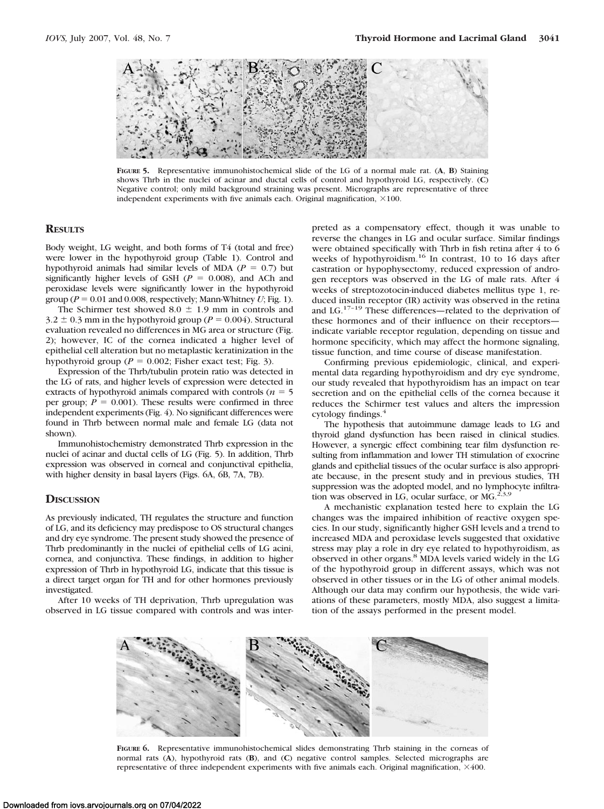

**FIGURE 5.** Representative immunohistochemical slide of the LG of a normal male rat. (**A**, **B**) Staining shows Thrb in the nuclei of acinar and ductal cells of control and hypothyroid LG, respectively. (**C**) Negative control; only mild background straining was present. Micrographs are representative of three independent experiments with five animals each. Original magnification,  $\times 100$ .

## **RESULTS**

Body weight, LG weight, and both forms of T4 (total and free) were lower in the hypothyroid group (Table 1). Control and hypothyroid animals had similar levels of MDA ( $P = 0.7$ ) but significantly higher levels of GSH  $(P = 0.008)$ , and ACh and peroxidase levels were significantly lower in the hypothyroid group ( $P = 0.01$  and 0.008, respectively; Mann-Whitney *U*; Fig. 1).

The Schirmer test showed 8.0  $\pm$  1.9 mm in controls and  $3.2 \pm 0.3$  mm in the hypothyroid group ( $P = 0.004$ ). Structural evaluation revealed no differences in MG area or structure (Fig. 2); however, IC of the cornea indicated a higher level of epithelial cell alteration but no metaplastic keratinization in the hypothyroid group ( $P = 0.002$ ; Fisher exact test; Fig. 3).

Expression of the Thrb/tubulin protein ratio was detected in the LG of rats, and higher levels of expression were detected in extracts of hypothyroid animals compared with controls ( $n = 5$ ) per group;  $P = 0.001$ ). These results were confirmed in three independent experiments (Fig. 4). No significant differences were found in Thrb between normal male and female LG (data not shown).

Immunohistochemistry demonstrated Thrb expression in the nuclei of acinar and ductal cells of LG (Fig. 5). In addition, Thrb expression was observed in corneal and conjunctival epithelia, with higher density in basal layers (Figs. 6A, 6B, 7A, 7B).

#### **DISCUSSION**

As previously indicated, TH regulates the structure and function of LG, and its deficiency may predispose to OS structural changes and dry eye syndrome. The present study showed the presence of Thrb predominantly in the nuclei of epithelial cells of LG acini, cornea, and conjunctiva. These findings, in addition to higher expression of Thrb in hypothyroid LG, indicate that this tissue is a direct target organ for TH and for other hormones previously investigated.

After 10 weeks of TH deprivation, Thrb upregulation was observed in LG tissue compared with controls and was interpreted as a compensatory effect, though it was unable to reverse the changes in LG and ocular surface. Similar findings were obtained specifically with Thrb in fish retina after 4 to 6 weeks of hypothyroidism.<sup>16</sup> In contrast, 10 to 16 days after castration or hypophysectomy, reduced expression of androgen receptors was observed in the LG of male rats. After 4 weeks of streptozotocin-induced diabetes mellitus type 1, reduced insulin receptor (IR) activity was observed in the retina and LG.<sup>17-19</sup> These differences—related to the deprivation of these hormones and of their influence on their receptors indicate variable receptor regulation, depending on tissue and hormone specificity, which may affect the hormone signaling, tissue function, and time course of disease manifestation.

Confirming previous epidemiologic, clinical, and experimental data regarding hypothyroidism and dry eye syndrome, our study revealed that hypothyroidism has an impact on tear secretion and on the epithelial cells of the cornea because it reduces the Schirmer test values and alters the impression cytology findings.<sup>4</sup>

The hypothesis that autoimmune damage leads to LG and thyroid gland dysfunction has been raised in clinical studies. However, a synergic effect combining tear film dysfunction resulting from inflammation and lower TH stimulation of exocrine glands and epithelial tissues of the ocular surface is also appropriate because, in the present study and in previous studies, TH suppression was the adopted model, and no lymphocyte infiltration was observed in LG, ocular surface, or MG. $^{2,3,9}$ 

A mechanistic explanation tested here to explain the LG changes was the impaired inhibition of reactive oxygen species. In our study, significantly higher GSH levels and a trend to increased MDA and peroxidase levels suggested that oxidative stress may play a role in dry eye related to hypothyroidism, as observed in other organs.<sup>8</sup> MDA levels varied widely in the LG of the hypothyroid group in different assays, which was not observed in other tissues or in the LG of other animal models. Although our data may confirm our hypothesis, the wide variations of these parameters, mostly MDA, also suggest a limitation of the assays performed in the present model.



**FIGURE 6.** Representative immunohistochemical slides demonstrating Thrb staining in the corneas of normal rats (**A**), hypothyroid rats (**B**), and (**C**) negative control samples. Selected micrographs are representative of three independent experiments with five animals each. Original magnification,  $\times 400$ .